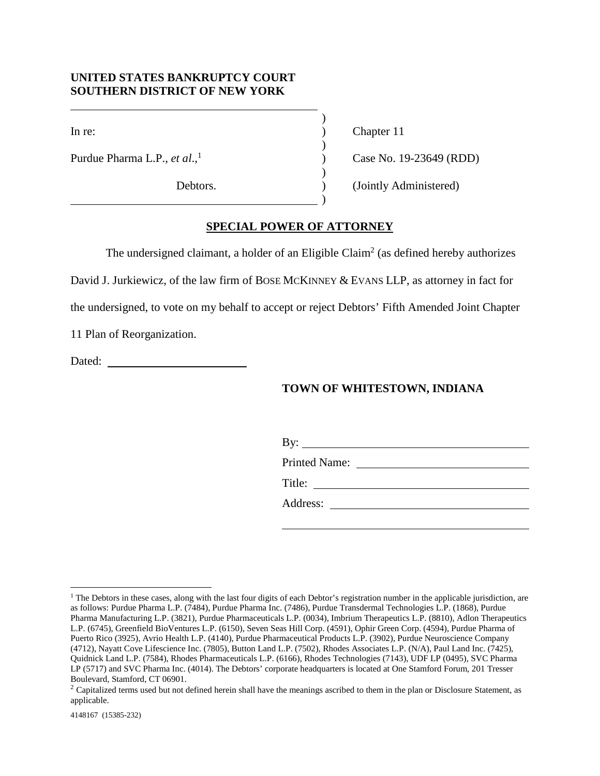## **UNITED STATES BANKRUPTCY COURT SOUTHERN DISTRICT OF NEW YORK**

In re:

Purdue Pharma L.P., *et al*., 1

Debtors.

Chapter 11

Case No. 19-23649 (RDD)

(Jointly Administered)

## **SPECIAL POWER OF ATTORNEY**

) ) ) ) ) ) )

The undersigned claimant, a holder of an Eligible Claim<sup>2</sup> (as defined hereby authorizes

David J. Jurkiewicz, of the law firm of BOSE MCKINNEY & EVANS LLP, as attorney in fact for

the undersigned, to vote on my behalf to accept or reject Debtors' Fifth Amended Joint Chapter

11 Plan of Reorganization.

Dated: **Dated: Dated: Dated: Dated: Dated: Dated: Date: Date: Date: Date: Date: Date: Date: Date: Date: Date: Date: Date: Date: Date: Date: Date: Date: Date: Date: Date:**

## **TOWN OF WHITESTOWN, INDIANA**

| Printed Name: <u>_______________________</u> |  |  |
|----------------------------------------------|--|--|
|                                              |  |  |
|                                              |  |  |

<sup>&</sup>lt;sup>1</sup> The Debtors in these cases, along with the last four digits of each Debtor's registration number in the applicable jurisdiction, are as follows: Purdue Pharma L.P. (7484), Purdue Pharma Inc. (7486), Purdue Transdermal Technologies L.P. (1868), Purdue Pharma Manufacturing L.P. (3821), Purdue Pharmaceuticals L.P. (0034), Imbrium Therapeutics L.P. (8810), Adlon Therapeutics L.P. (6745), Greenfield BioVentures L.P. (6150), Seven Seas Hill Corp. (4591), Ophir Green Corp. (4594), Purdue Pharma of Puerto Rico (3925), Avrio Health L.P. (4140), Purdue Pharmaceutical Products L.P. (3902), Purdue Neuroscience Company (4712), Nayatt Cove Lifescience Inc. (7805), Button Land L.P. (7502), Rhodes Associates L.P. (N/A), Paul Land Inc. (7425), Quidnick Land L.P. (7584), Rhodes Pharmaceuticals L.P. (6166), Rhodes Technologies (7143), UDF LP (0495), SVC Pharma LP (5717) and SVC Pharma Inc. (4014). The Debtors' corporate headquarters is located at One Stamford Forum, 201 Tresser Boulevard, Stamford, CT 06901.

<sup>&</sup>lt;sup>2</sup> Capitalized terms used but not defined herein shall have the meanings ascribed to them in the plan or Disclosure Statement, as applicable.